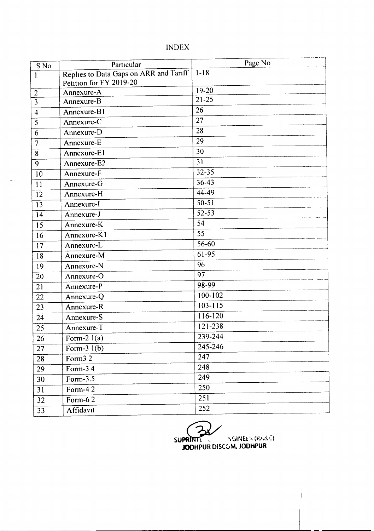INDEX

| S No                    | Particular                                                        | Page No            |
|-------------------------|-------------------------------------------------------------------|--------------------|
| $\mathbf{1}$            | Replies to Data Gaps on ARR and Tariff<br>Petition for FY 2019-20 | $1 - 18$           |
| $\overline{2}$          | Annexure-A                                                        | 19-20              |
| $\overline{\mathbf{3}}$ | Annexure-B                                                        | $21 - 25$          |
| $\overline{4}$          | Annexure-B1                                                       | 26                 |
| 5                       | Annexure-C                                                        | 27                 |
| 6                       | Annexure-D                                                        | 28                 |
| $\overline{7}$          | Annexure-E                                                        | 29                 |
| 8                       | Annexure-E1                                                       | 30                 |
| 9                       | Annexure-E2                                                       | 31                 |
| 10                      | Annexure-F                                                        | $32 - 35$          |
| 11                      | Annexure-G                                                        | 36-43              |
| 12                      | Annexure-H                                                        | 44-49              |
| 13                      | Annexure-I                                                        | $\overline{50-51}$ |
| 14                      | Annexure-J                                                        | $52 - 53$          |
| 15                      | Annexure-K                                                        | 54                 |
| 16                      | Annexure-K1                                                       | 55                 |
| 17                      | Annexure-L                                                        | 56-60              |
| 18                      | Annexure-M                                                        | 61-95              |
| 19                      | Annexure-N                                                        | 96                 |
| 20                      | Annexure-O                                                        | 97                 |
| 21                      | Annexure-P                                                        | 98-99              |
| 22                      | Annexure-Q                                                        | 100-102            |
| 23                      | Annexure-R                                                        | 103-115            |
| 24                      | Annexure-S                                                        | $116 - 120$        |
| 25                      | Annexure-T                                                        | 121-238            |
| 26                      | Form-2 $l(a)$                                                     | 239-244            |
| 27                      | Form- $31(b)$                                                     | 245-246            |
| 28                      | Form <sub>3</sub> 2                                               | 247                |
| 29                      | Form-34                                                           | 248                |
| 30                      | Form-3.5                                                          | 249                |
| 31                      | Form-42                                                           | 250                |
| 32                      | Form-62                                                           | 251                |
| 33                      | Affidavit                                                         | 252                |



II

 $\left\vert \right\vert$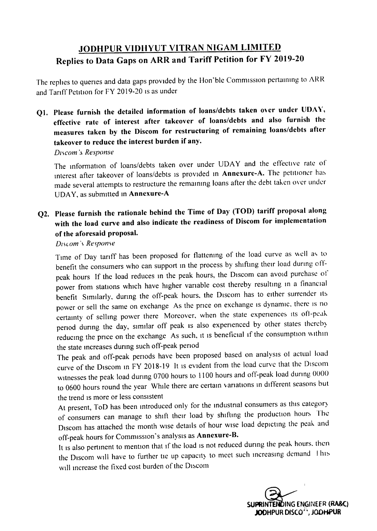# JODHPUR VIDHYUT VITRAN NIGAM LIMITED Replies to Data Gaps on ARR and Tariff Petition for FY 2019-20

The replies to queries and data gaps provided by the Hon'ble Commission pertaining to ARR and Tariff Petition for FY 2019-20 is as under

Q1. Please furnish the detailed information of loans/debts taken over under UDAY, effective rate of interest after takeover of loans/debts and also furnish the measures taken by the Discom for restructuring of remaining loans/debts after takeover to reduce the interest burden if any.

*Discom's Response*

The information of loans/debts taken over under UDAY and the effective rate of interest after takeover of loans/debts is provided in Annexure-A. The petitioner has made several attempts to restructure the rernainmg loans after the debt taken over under UOA Y, as submitted in Annexure-A

# Q2. Please furnish the rationale behind the Time of Day (TOD) tariff proposal along with the load curve and also indicate the readiness of Discom for implementation of the aforesaid proposal.

*Dtscom '\ Response*

Time of Day tariff has been proposed for flattening of the load curve as well as to benefit the consumers who can support in the process by shifting their load during offpeak hours If the load reduces in the peak hours, the Discom can avoid purchase of power from stations which have higher vanable cost thereby resulting In a financial benefit Similarly, during the off-peak hours, the Discom has to either surrender its power or sell the same on exchange As the price on exchange is dynamic, there is no certainty of selling power there Moreover, when the state experiences its off-peak period during the day, similar off peak is also experienced by other states thereby reducing the price on the exchange As such, it is beneficial if the consumption within the state increases durmg such off-peak penod

The peak and off-peak periods have been proposed based on analysis of actual load curve of the Discom in FY 2018-19 It is evident from the load curve that the Discom witnesses the peak load during 0700 hours to 1100 hours and off-peak load during 0000 to 0600 hours round the year While there are certain vanations in different seasons but the trend is more or less consistent

At present, ToO has been introduced only for the industnal consumers as this category of consumers can manage to shift their load by shifung the production hours The Discom has attached the month wise details of hour wise load depicting the peak and off-peak hours for Commission's analysis as Annexure-B.

It is also pertinent to mention that if the load is not reduced during the peak hours, then the Discom will have to further tie up capacity to meet such increasing demand I his will increase the fixed cost burden of the Discom

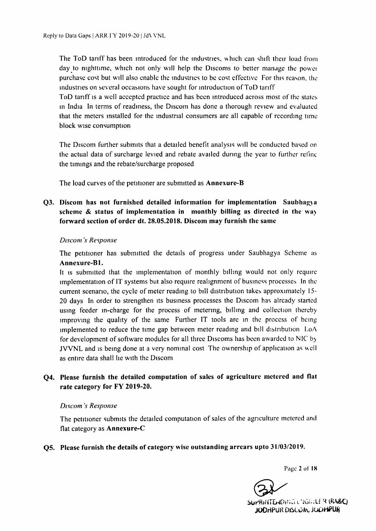The ToD tariff has been introduced for the industries, which can shift their load from day to mighttime, which not only will help the Discoms to better manage the power purchase cost but will also enable the mdustncs to be cost effective For this reason, the industries on several occasions have sought for introduction of ToD tariff

ToD tanff IS a well accepted practice and has been Introduced across most of the states <sup>111</sup> India In terms of read mess, the Drscorn has done a thorough review and evaluated that the meters Installed for the mdustnal consumers are all capable of recording time block wise consumption

The Discorn further submits that a detailed benefit analysis will be conducted based on the actual data of surcharge levied and rebate availed during the year to further refine the timings and the rebate/surcharge proposed

The load curves of the petitioner are submitted as Annexure-B

### Q3. Discom has not furnished detailed information for implementation Saubhagy a scheme & status of implementation in monthly billing as directed in the way forward section of order dt. 28.05.2018. Discom may furnish the same

#### *Discom 's Response*

The petitioner has submitted the details of progress under Saubhagya Scheme as Annexure-Bl .

It is submitted that the implementation of monthly billing would not only require unplementation of IT systems but also require realignment of business processes In the current scenano, the cycle of meter reading to bill distnbution takes approximately 15- 20 days In order to strengthen its business processes the Discom has already started usmg feeder in-charge for the process of metenng, billing and collection thereby improving the quality of the same Further IT tools are in the process of being implemented to reduce the time gap between meter reading and bill distribution  $LoA$ for development of software modules for all three Discoms has been awarded to NIC by JVVNL and is being done at a very nominal cost. The ownership of application as well as entire data shall lie with the Discom

### Q4. Please furnish the detailed computation of sales of agriculture metered and flat rate category for FY 2019-20.

#### *Dtscom's Response*

The petitioner submits the detailed computation of sales of the agriculture metered and flat category as Annexure-C

### Q5. Please furnish the details of category wise outstanding arrears upto *31/03/2019.*

Page 2 of 18

 $S$ UPRINTENDING L'IGHIEF Q (RA&C) JODHPUR DISCOM, JUDHPUR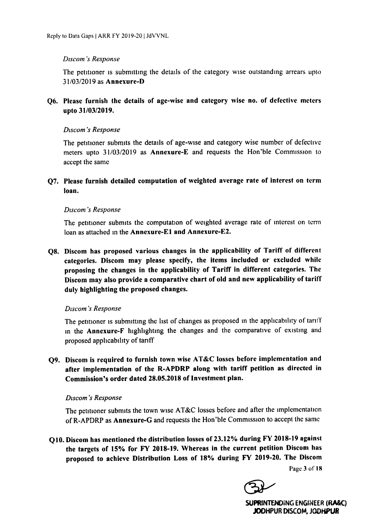### *Dtscom 's Response*

The petitioner is submitting the details of the category wise outstanding arrears upto *31/03/2019* as Annexure-D

Q6. Please furnish the details of age-wise and category wise no. of defective meters upto 31/03/2019.

#### *Discom 's Response*

The petitioner submits the details of age-wise and category wise number of defective meters upto *31/03/2019* as Annexure-E and requests the Hon 'ble Commission to accept the same

### Q7. Please furnish detailed computation of weighted average rate of interest on term loan.

#### *Dtscom 's Response*

The petitioner submits the computation of weighted average rate of mterest on tcrrn loan as attached in the Annexure-E1 and Annexure-E2.

Q8. Discom has proposed various changes in the applicability of Tariff of different categories. Discom may please specify, the items included or excluded while proposing the changes in the applicability of Tariff in different categories. The Discom may also provide a comparative chart of old and new applicability of tariff duly highlighting the proposed changes.

#### *Dtscom 's Response*

The petitioner is submitting the list of changes as proposed in the applicability of tanif 10 the Annexure-F highhghtmg the changes and the comparative of existmg and proposed apphcabihty of tanff

Q9. Discom is required to furnish town wise AT&C losses before implementation and after implementation of the R-APDRP along with tariff petition as directed in Commission's order dated 28.05.2018 of Investment plan.

#### *Discom 's Response*

The petitioner submits the town wise AT&C losses before and after the implementation ofR-APDRP as Annexure-G and requests the Hon'ble Commission to accept the same

Q10. Discom has mentioned the distribution losses of 23.12% during FY 2018-19 against the targets of 15% for FY 2018-19. Whereas in the current petition Discom has proposed to achieve Distribution Loss of 18% during FY 2019-20. The Discom

Page 3 of 18

SUPRINTENDING ENGINEER (RA&C) JODHPUR DISCOM, JODHPUR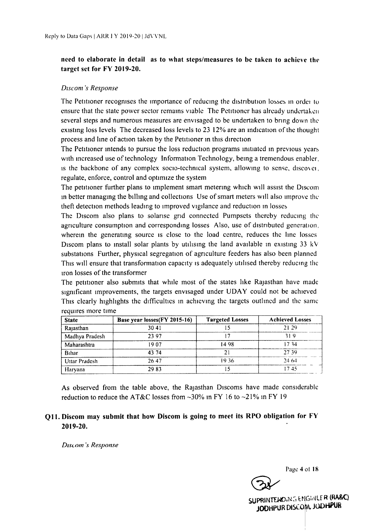### need to elaborate in detail as to what steps/measures to be taken to achieve the target set for FY 2019-20.

#### *Dtscom 's Response*

The Petitioner recognises the importance of reducing the distribution losses in order to ensure that the state power sector remains viable The Pctinoncr has already undertaken several steps and numerous measures are envisaged to be undertaken to bring down the existing loss levels. The decreased loss levels to  $23\frac{12}{%}$  are an indication of the thought process and lme of action taken by the Petinoner In this direction

The Petitioner intends to pursue the loss reduction programs initiated in previous years with increased use of technology Information Technology, being a tremendous enabler, is the backbone of any complex socio-technical system, allowing to sense, discover, regulate, enforce, control and optimize the system

The petitioner further plans to implement smart metering which will assist the Discom in better managing the billmg and collections Use of smart meters WIllalso Improve the theft detection methods leading to improved vigilance and reduction in losses

The Discom also plans to solanse grid connected Purnpsets thereby reducing the agriculture consumption and corresponding losses Also, use of distnbuted generation, wherein the generating source is close to the load centre, reduces the line losses Discom plans to install solar plants by utilising the land available in existing 33 kV substations Further, physical segregation of agnculture feeders has also been planned This will ensure that transformation capacity is adequately utilised thereby reducing the Iron losses of the transformer

The petitioner also submits that whrle most of the states like Rajasthan have made significant improvements, the targets envisaged under UDAY could not be achieved This clearly highlights the difficulties in achieving the targets outlined and the same requires more tune

| <b>State</b>   | Base year losses (FY 2015-16) | <b>Targeted Losses</b> | <b>Achieved Losses</b> |
|----------------|-------------------------------|------------------------|------------------------|
| Rajasthan      | 30.41                         |                        | 21.29                  |
| Madhya Pradesh | 23 97                         |                        | 3 I Q                  |
| Maharashtra    | 19.07                         | 1498                   | 17 34                  |
| Bihar          | 43 74                         |                        | 27.39                  |
| Uttar Pradesh  | 2647                          | 19.36                  | 2464                   |
| Haryana        | 2983                          |                        | 1745                   |

As observed from the table above, the Rajasthan Discoms have made considerable reduction to reduce the AT&C losses from  $\sim$ 30% in FY 16 to  $\sim$ 21% in FY 19

### Qll. Discom may submit that how Discom is going to meet its RPO obligation for FY 2019-20.

*D'SLom 's Response*

Page 4 of 18

SUPRINTENDING ENGINEER (RA&C) JODHPUR DISCOM, JODHPUR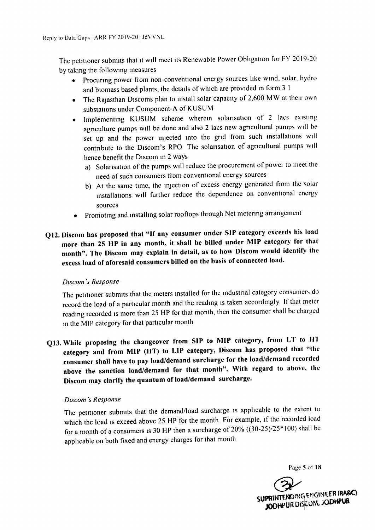The petitioner submits that it will meet its Renewable Power Obligation for FY 2019-20 by takmg the followmg measures

- Procunng power from non-conventional energy sources like wind. solar, hydro and biomass based plants, the details of which are provided m form 3 I
- The Rajasthan Discoms plan to install solar capacity of 2,600 MW at their own substations under Component-A of KUSUM
- Implementing KUSUM scheme wherein solarisation of 2 lacs existing agriculture pumps will be done and also 2 lacs new agricultural pumps will be set up and the power injected mto the gnd from such mstallations will contribute to the Discom's RPO The solarisation of agricultural pumps will hence benefit the Discom in 2 ways
	- a) Solarisation of the pumps will reduce the procurement of power to meet the need of such consumers from conventional energy sources
	- b) At the same time, the injection of excess energy generated from the solar mstallations will further reduce the dependence on conventional energy sources
- Promotmg and mstallmg solar rooftops through Net metenng arrangement

## Q12. Discom has proposed that "If any consumer under SIP category exceeds his load more than 25 HP in any month, it shall be billed under MIP category for that month". The Discom may explain in detail, as to how Discom would identify the excess load of aforesaid consumers billed on the basis of connected load.

### *Discom 's Response*

The petitioner submits that the meters installed for the industrial category consumers do record the load of a particular month and the reading is taken accordingly If that meter reading recorded IS more than 25 HP for that month, then the consumer shall be charged in the MIP category for that particular month

Q13. While proposing the changeover from SIP to MIP category, from LT to 111 category and from MIP (HT) to LIP category, Discom has proposed that "the consumer shall have to pay load/demand surcharge for the load/demand recorded above the sanction load/demand for that month". With regard to above, the Discom may clarify the quantum of load/demand surcharge.

### *Discom 's Response*

The petitioner submits that the demand/load surcharge is applicable to the extent to which the load is exceed above 25 HP for the month For example, if the recorded load for a month of a consumers is 30 HP then a surcharge of  $20\%$  ((30-25)/25\*100) shall be applicable on both fixed and energy charges for that month

Page 5 of 18

Page 5 of 18<br>
CUPRINTENDING ENGINEER (RA&C) JODHPUR DISKOM, JODHPUR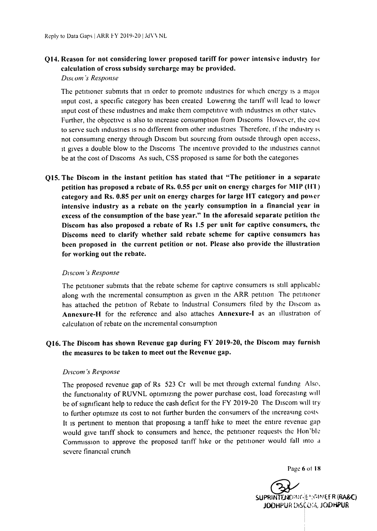### Q14. Reason for not considering lower proposed tariff for power intensive industry for calculation of cross subsidy surcharge may be provided.

*Disc*<sup>0111</sup> *'s Response*

The petitioner submits that in order to promote industries for which energy is a major input cost, a specific category has been created Lowenng the tariff will lead to lower input cost of these industries and make them competitive with industries in other states Further, the objective is also to increase consumption from Discoms However, the cost to serve such industries is no different from other industries. Therefore, if the industry is not consuming energy through Discom but sourcing from outside through open access It gives a double blow to the Discoms The mcentive provided to the mdustnes cannot be at the cost of Discoms As such, CSS proposed is same for both the categories

Q15. The Discom in the instant petition has stated that "The petitioner in a separate petition has proposed a rebate of Rs. 0.55 per unit on energy charges for MIP (HT) category and Rs. 0.85 per unit on energy charges for large HT category and power intensive industry as a rebate on the yearly consumption in a financial year in excess of the consumption of the base year." In the aforesaid separate petition the Discom has also proposed a rebate of Rs 1.5 per unit for captive consumers, the Discoms need to clarify whether said rebate scheme for captive consumers has been proposed in the current petition or not. Please also provide the illustration for working out the rebate.

### *Discom's Response*

The petitioner submits that the rebate scheme for captive consumers is still applicable along with the incremental consumption as given in the ARR petition. The petitioner has attached the petition of Rebate to Industrial Consumers filed by the Discom as Annexure-H for the reference and also attaches Annexure-I as an illustration of calculation of rebate on the Incremental consumption

### Q16. The Discom has shown Revenue gap during FY 2019-20, the Discom may furnish the measures to be taken to meet out the Revenue gap.

#### *Disconi's Response*

The proposed revenue gap of Rs 523 Cr will be met through external fundmg Also, the functionality of RUVNL optimizing the power purchase cost, load forecasting will be of significant help to reduce the cash deficit for the FY 2019-20 The Discom will try to further optimize its cost to not further burden the consumers of the increasing costs It is pertinent to mention that proposing a tariff hike to meet the entire revenue gap would give tanff shock to consumers and hence, the petiuoner requests the Hon'blc Commission to approve the proposed tariff hike or the petinoner would fall into d severe financial crunch

Page 6 of 18

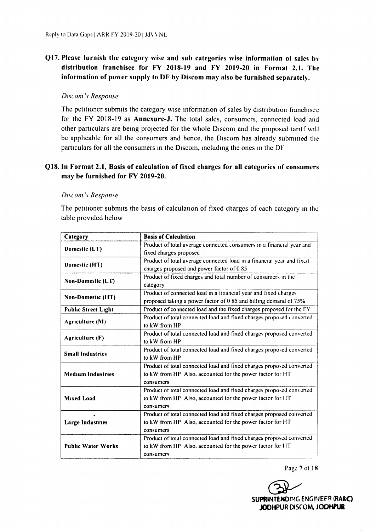### Q17. Please furnish the category wise and sub categories wise information of sales by distribution franchisee for FY 2018-19 and FY 2019-20 in Format 2.1. The information of power supply to DF by Discom may also be furnished separately.

#### *Discom's Response*

The petitioner submits the category wise information of sales by distribution franchisee for the FY 2018-19 as Annexure-J. The total sales, consumers, connected load and other particulars are being projected for the whole Discom and the proposed tanif will be applicable for all the consumers and hence, the Discorn has already submitted the particulars for all the consumers in the Discom, including the ones in the DF

### Q18. In Format 2.1, Basis of calculation of fixed charges for all categories of consumers may be furnished for FY 2019-20.

#### *DI\( <sup>0111</sup> " Response*

The petitioner submits the basis of calculation of fixed charges of each category in the table provided below

| Category                   | <b>Basis of Calculation</b>                                                                                                                    |  |
|----------------------------|------------------------------------------------------------------------------------------------------------------------------------------------|--|
| Domestic (LT)              | Product of total average connected consumers in a financial year and                                                                           |  |
|                            | fixed charges proposed<br>Product of total average connected load in a financial year and fixed                                                |  |
| Domestic (HT)              | charges proposed and power factor of 0 85                                                                                                      |  |
| <b>Non-Domestic (LT)</b>   | Product of fixed charges and total number of consumers in the                                                                                  |  |
|                            | category<br>Product of connected load in a financial year and fixed charges                                                                    |  |
| <b>Non-Domestic (HT)</b>   | proposed taking a power factor of 0 85 and billing demand of 75%                                                                               |  |
| <b>Public Street Light</b> | Product of connected load and the fixed charges proposed for the FY                                                                            |  |
| Agriculture (M)            | Product of total connected load and fixed charges proposed converted<br>to kW from HP                                                          |  |
| Agriculture (F)            | Product of total connected load and fixed charges proposed converted<br>to kW from HP                                                          |  |
| <b>Small Industries</b>    | Product of total connected load and fixed charges proposed converted<br>to kW from HP                                                          |  |
| <b>Medium Industries</b>   | Product of total connected load and fixed charges proposed converted<br>to kW from HP Also, accounted for the power factor for HT<br>consumers |  |
| <b>Mixed Load</b>          | Product of total connected load and fixed charges proposed converted<br>to kW from HP Also, accounted for the power factor for HT<br>consumers |  |
| <b>Large Industries</b>    | Product of total connected load and fixed charges proposed converted<br>to kW from HP Also, accounted for the power factor for HT<br>consumers |  |
| <b>Public Water Works</b>  | Product of total connected load and fixed charges proposed converted<br>to kW from HP Also, accounted for the power factor for HT<br>consumers |  |

Page 7 of 18

~ SUPRINTENDING ENGINEFR (RA**&C)** JODHPUR DISCOM, JODHPUR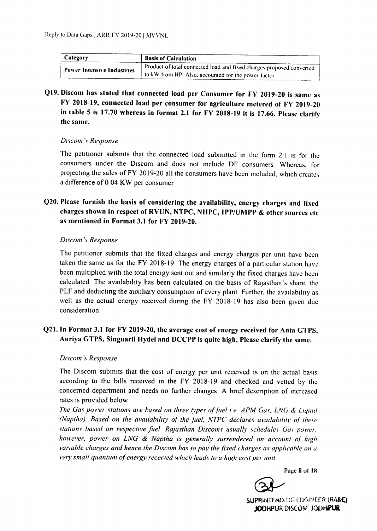| Category                          | <b>Basis of Calculation</b>                                          |  |
|-----------------------------------|----------------------------------------------------------------------|--|
| <b>Power Intensive Industries</b> | Product of total connected load and fixed charges proposed converted |  |
|                                   | $\mu$ , to kW from HP. Also, accounted for the power factor          |  |

Q19. Discom has stated that connected load per Consumer for FY 2019-20 is same as FY 2018-19, connected load per consumer for agriculture metered of FY 2019-20 in table 5 is 17.70 whereas in format 2.1 for FY 2018-19 it is 17.66. Please clarify the same.

### *Discom* 's *Response*

The petitioner submits that the connected load submitted in the form 2 l is for the consumers under the Discom and does not Include DF consumers Whereas, for projecting the sales of FY 2019-20 all the consumers have been included, which creates a difference of 0 04 KW per consumer

### Q20. Please furnish the basis of considering the availability, energy charges and fixed charges shown in respect of RVUN, NTPC, NHPC, IPP/UMPP & other sources etc as mentioned in Format 3.1 for FY 2019-20.

### *Discom 's Response*

The petitioner submits that the fixed charges and energy charges per unit have been taken the same as for the FY 2018-19 The energy charges of a particular stauon have been multiphcd WIth the total energy sent out and SImilarly the fixed charges have been calculated The availabihty has been calculated on the basis of Rajasthan's share, the PLF and deducting the auxiliary consumption of every plant Further, the availability as well as the actual energy received during the FY 2018-19 has also been given due consideration

### Q21. In Format 3.1 for FY 2019-20, the average cost of energy received for Anta GTPS, Auriya GTPS, Singuarli Hydel and DCCPP is quite high, Please clarify the same.

### *Dtscom '.\Response*

The Discom submits that the cost of energy per unit received is on the actual basis according to the bills received in the FY 2018-19 and checked and vetted by the concerned department and needs no further changes A brief dcscnption of Increased rates is provided below

*The Gas power stations are based on three types of fuel <i>i e APM Gas, LNG & Liquid (Naptha) Based on the availabtlity of the fuel, NTPC declares avatlahtlitv of these stations based* on *respective fuel* Rajasthan Discoms *usually schedules* Gas *power*, *however, power on LNG* & *Naptha IS generally surrendered on account of high vanable charges and hence the Dtscom has to pay the fixed charges as applicable <sup>011</sup> a very small quantum of energy received which leads to a high cost pel lint!*

Page 8 of 18

 $SUPRINTEND.11G$  $EHG/NEER$  $(RABC)$ JODHPURDISCOM<sup>I</sup> JODHPUR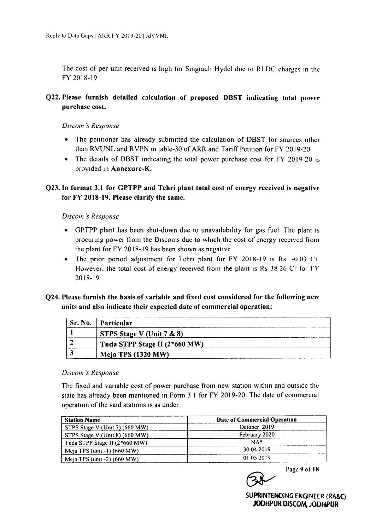The cost of per unit received is high for Singrauh Hydel due to RLDC charges in the FY 2018-19

### Q22. Please furnish detailed calculation of proposed DBST indicating total power purchase cost.

### *Discom 's Response*

- The petitioner has already submitted the calculation of DBST for sources other than RVUNL and RVPN in table-30 of ARR and Tariff Petition for FY 2019-20
- The details of DBST indicating the total power purchase cost for FY 2019-20 is provided in Annexure-K.

### Q23. In format 3.1 for GPTPP and Tehri plant total cost of energy received is negative for FY 2018-19. Please clarify the same.

### *Dtscom 's Response*

- GPTPP plant has been shut-down due to unavailability for gas fuel The plant is procunng power from the Discoms due to which the cost of energy received from the plant for FY 2018-19 has been shown as negative
- The prior period adjustment for Tehri plant for FY 2018-19 is Rs  $-0.03$  Ci However, the total cost of energy received from the plant is Rs 38 26 Cr for FY 2018-19

### Q24. Please furnish the basis of variable and fixed cost considered for the following new units and also indicate their expected date of commercial operation:

| Sr. No. Particular            |  |
|-------------------------------|--|
| STPS Stage V (Unit $7 & 80$ ) |  |
| Tnda STPP Stage II (2*660 MW) |  |
| <b>Meja TPS (1320 MW)</b>     |  |

### *Discom 's Response*

The fixed and variable cost of power purchase from new station withm and outside the state has already been mentioned in Form 3 1 for FY 2019-20 The date of commercial operation of the said stations IS as under

| <b>Station Name</b>            | Date of Commercial Operation |  |
|--------------------------------|------------------------------|--|
| STPS Stage V (Unit 7) (660 MW) | October 2019                 |  |
| STPS Stage V (Unit 8) (660 MW) | February 2020                |  |
| Tnda STPP Stage II (2*660 MW)  | $NA^*$                       |  |
| Meja TPS (unit $-1$ ) (660 MW) | 30 04 2019                   |  |
| Meja TPS (unit -2) (660 MW)    | 01.05.2019                   |  |

Page 9 of 18

SUPRINTENOING ENGINEER (RA&C) JODHPUR OtsCOM, JODHPUR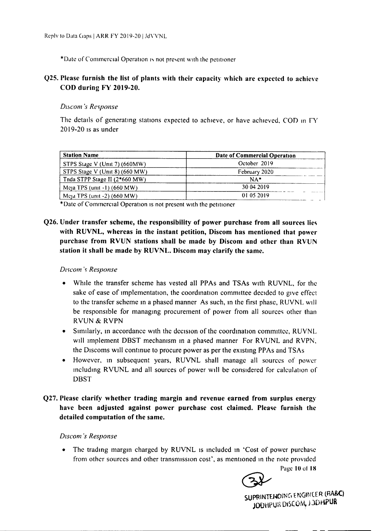\*Date of Commercial Operation is not present with the petitioner

### Q25. Please furnish the list of plants with their capacity which are expected to achieve COD during FY 2019-20.

#### *Discom 's Response*

The details of generating stations expected to achieve, or have achieved, COD in FY  $2019-20$  is as under

| <b>Station Name</b>                              | Date of Commercial Operation<br>October 2019 |  |
|--------------------------------------------------|----------------------------------------------|--|
| STPS Stage V (Unit 7) (660MW)                    |                                              |  |
| STPS Stage V (Unit 8) (660 MW)                   | February 2020                                |  |
| Tnda STPP Stage II (2*660 MW)                    | $NA*$                                        |  |
| Meja TPS (unit $-1$ ) (660 MW)                   | 30 04 2019                                   |  |
| Me <sub>1</sub> TPS (unit -2) $(660 \text{ MW})$ | 01 05 2019                                   |  |

\*Date of Commercial Operation IS not present with the petitioner

Q26. Under transfer scheme, the responsibility of power purchase from all sources lies with RUVNL, whereas in the instant petition, Discom has mentioned that power purchase from RVUN stations shall be made by Discom and other than RVUN station it shall be made by RUVNL. Discom may clarify the same.

#### *Discom*'s *Response*

- While the transfer scheme has vested all PPAs and TSAs With RUVNL, for the sake of ease of implementation, the coordination committee decided to give effect to the transfer scheme m a phased manner As such, m the first phase, RUVNL will be responsible for managing procurement of power from all sources other than RVUN & RVPN
- Similarly, in accordance with the decision of the coordination committee, RUVNL will implement DBST mechanism in a phased manner For RVUNL and RVPN, the Discoms Will continue to procure power as per the existmg PPAs and TSAs
- However, In subsequent years, RUVNL shall manage all sources of power mcludmg RVUNL and all sources of power will be considered for calculation of **DBST**

### Q27. Please clarify whether trading margin and revenue earned from surplus energy have been adjusted against power purchase cost claimed. Please furnish the detailed computation of the same.

#### *Dtscom 's Response*

• The trading margin charged by RUVNL is included in 'Cost of power purchase from other sources and other transnussion cost', as mentioned in the note provided

Page 10 of 18



SUPRINTENOING ENGINCER (RA&C) JODHPUR DISCOM, J JOHPUR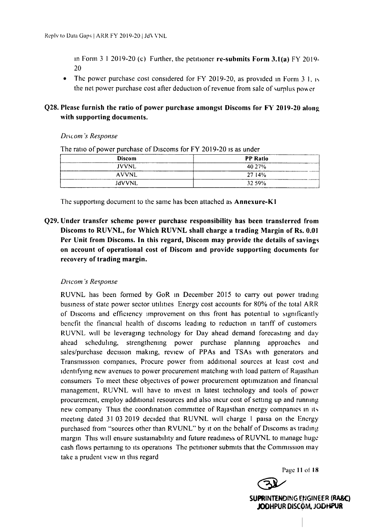In Form  $3\ 1\ 2019-20$  (c) Further, the petitioner re-submits Form  $3.1(a)$  FY 2019-20

The power purchase cost considered for FY 2019-20, as provided in Form 3 1, is the net power purchase cost after deduction of revenue from sale of surplus power

### Q28. Please furnish the ratio of power purchase amongst Discoms for FY 2019-20 along with supporting documents.

#### *Discom s Response*

The ratio of power purchase of Discoms for FY 2019-20 is as under

| <b>Discom</b> | <b>PP</b> Ratio |
|---------------|-----------------|
| <b>JVVNL</b>  | 40 27%          |
| <b>AVVNL</b>  | 2714%           |
| JdVVNL        | 32 59%          |

The supporting document to the same has been attached as **Annexure-K1** 

Q29. Under transfer scheme power purchase responsibility has been transferred from Discoms to RUVNL, for Which RUVNL shall charge a trading Margin of Rs. 0.01 Per Unit from Discoms. In this regard, Discom may provide the details of savings on account of operational cost of Discom and provide supporting documents for recovery of trading margin.

#### *Dtscom 's Response*

RUVNL has been formed by GoR In December 2015 to carry out power trading business of state power sector utihues Energy cost accounts for 80% of the total ARR of Discoms and efficiency Improvement on this front has potential to sigmficantly benefit the financial health of discoms leading to reduction in tariff of customers RUVNL will be leveraging technology for Day ahead demand forecastmg and day ahead scheduling, strengthenmg power purchase planrung approaches and sales/purchase decision making, review of PPAs and TSAs with generators and Transmissron companies, Procure power from additional sources at least cost and identifying new avenues to power procurement matching with load pattern of Rajasthan consumers To meet these objectives of power procurement optimization and financial management, RUVNL will have to invest m latest technology and tools of power procurement, employ additional resources and also incur cost of setting up and runnmg new company. Thus the coordination committee of Rajasthan energy companies in its. meeting dated 31 03 2019 decided that RUVNL will charge I paisa on the Energy purchased from "sources other than RVUNL" by it on the behalf of Discoms as trading margin This will ensure sustainability and future readmess of RUVNL to manage huge cash flows pertaining to its operations The petitioner submits that the Commission may take a prudent view in this regard

Page II of 18

SUPRINTENDING ENGINEER (RA&C) JODHPUR DISCOM, JODHPUR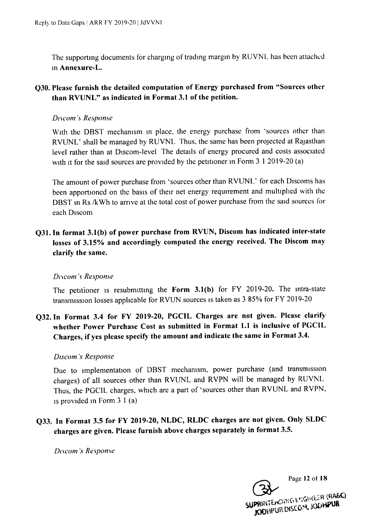The supporting documents for charging of trading margin by RUVNL has been attached In Annexure-L.

### Q30. Please furnish the detailed computation of Energy purchased from "Sources other than RVUNL" as indicated in Format 3.1 of the petition.

### *Discom* '5 *Response*

With the DBST mechanism in place. the energy purchase from 'sources other than RVUNL' shall be managed by RUVNL Thus. the same has been projected at Rajasthan level rather than at Discom-level The details of energy procured and costs associated with it for the said sources are provided by the petitioner in Form 3 1 2019-20 (a)

The amount of power purchase from 'sources other than RVUNL' for each Discoms has been apportioned on the basis of their net energy requirement and multiphed with the DBST in Rs /kWh to arrive at the total cost of power purchase from the said sources for each Discorn

Q31. In format 3.1(b) of power purchase from RVUN, Discom has indicated inter-state losses of 3.15% and accordingly computed the energy received. The Discom may clarify the same.

### *Dl\COm* 's *Response*

The petitioner is resubmitting the Form  $3.1(b)$  for FY 2019-20. The intra-state transmission losses applicable for RVUN sources is taken as 3 85% for FY 2019-20

Q32. In Format 3.4 for FY 2019-20, PGCIL Charges are not given. Please clarify whether Power Purchase Cost as submitted in Format 1.1 is inclusive of PGCIL Charges, if yes please specify the amount and indicate the same in Format 3.4.

### *Discom 's Response*

Due to implementation of DBST mechanism, power purchase (and transmission charges) of all sources other than RVUNL and RVPN will be managed by RUVNL Thus, the PGCIL charges, which are a part of 'sources other than RVUNL and RVPN.  $\frac{1}{1}$  is provided in Form 3 1 (a)

Q33. In Format 3.5 for FY 2019-20, NLDC, RLDC charges are not given. Only SLDC charges are given. Please furnish above charges separately in format 3.5.

Discom's Response

Page 12 of 18 SUPRINTENDING ENGINEER (RA&C) **PRINTEXOING ENGINEER (**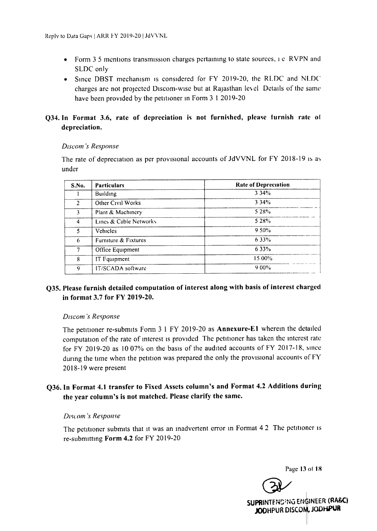- Form 3.5 mentions transmission charges pertaining to state sources, i.e. RVPN and SLDC only
- Since DBST mechanism is considered for FY 2019-20, the RLDC and NLDC charges are not projected Discom-wise but at Rajasthan level Details of the same have been provided by the petitioner in Form 3 1 2019-20

### **Q34.** In Format 3.6, rate of depreciation is not furnished, please furnish rate of **depreciation.**

### *Discom 's Response*

The rate of depreciation as per provisional accounts of  $JdVVNL$  for  $FY$  2018-19 is as under

| S.No.          | <b>Particulars</b>     | <b>Rate of Depreciation</b> |
|----------------|------------------------|-----------------------------|
|                | Building               | 3 3 4 %                     |
| $\mathcal{P}$  | Other Civil Works      | $3.34\%$                    |
| 3              | Plant & Machinery      | 5 2 8%                      |
| $\overline{4}$ | Lines & Cable Networks | 5 28%                       |
| 5.             | Vehicles               | $9.50\%$                    |
| 6              | Furniture & Fixtures   | $6.33\%$                    |
| 7              | Office Equipment       | 633%                        |
| 8              | IT Fquipment           | 15 00%                      |
| 9              | IT/SCADA software      | 900%                        |

### **Q35. Please furnish detailed computation of interest along with basis of interest charged in format 3.7 for FY 2019-20.**

### *Dtscom 's Response*

The petiuoner re-submits Form 3 1 FY 2019-20 as **Annexure-El** wherem the detailed computation of the rate of interest is provided The petitioner has taken the interest rate for FY 2019-20 as 10 07% on the basis of the audited accounts of FY 2017-18, since dunng the time when the petition was prepared the only the provisional accounts of FY 2018-19 were present

### **Q36. In Format 4.1 transfer to Fixed Assets column's and Format 4.2 Additions during the year column's is not matched. Please clarify the same.**

#### *Dtscom's Response*

The petitioner submits that it was an inadvertent error in Format 4.2. The petitioner is re-submitting **Form 4.2** for FY 2019-20

Page 13 of **IR**

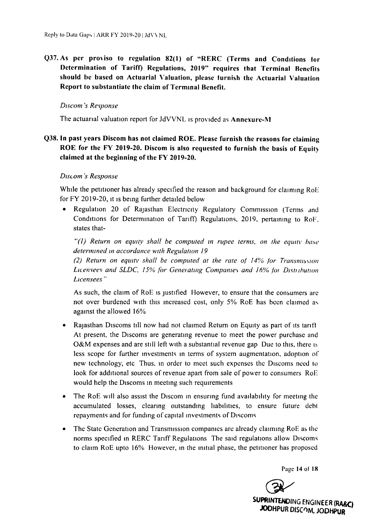Q37. As per proviso to regulation 82(1) of "RERC (Terms and Conduions for Determination of Tariff) Regulations, 2019" requires that Terminal Benefits should be based on Actuarial Valuation, please furnish the Actuarial Valuation Report to substantiate the claim of Termmal Benefit.

#### *Dtscom 's Response*

The actuarial valuation report for JdVVNL is provided as Annexure-M

### Q38. In past years Discom has not claimed ROE. Please furnish the reasons for claiming ROE for the FY 2019-20. Discom is also requested to furnish the basis of Equity claimed at the beginning of the FY 2019-20.

#### *D1S(Om 's Response*

While the petitioner has already specified the reason and background for claiming RoE for FY 2019-20, it is being further detailed below

• Regulation 20 of Rajasthan Electncity Regulatory Commission (Terms and Conditions for Determination of Tariff) Regulations, 2019, pertaining to RoF, states that-

*"(I) Return on equity shall be computed III rupee terms, on the equttv base determined III accordance with Regulation 19*

*(2) Return on equttv shall be computed at the rate of 14% for Transnusston Licensees and SLDC,* 15% *{or Generating Companies and* 16% *[ot Dtstnhuuon Licensees"*

As such, the claim of RoE is justified However, to ensure that the consumers are not over burdened with this increased cost, only 5% RoE has been claimed as against the allowed 16%

- Rajasthan Discoms till now had not claimed Return on Equity as part of its tariff At present, the Discoms are generatmg revenue to meet the power purchase and  $O&M$  expenses and are still left with a substantial revenue gap Due to this, there is less scope for further investments in terms of system augmentation, adoption of new technology, etc Thus, In order to meet such expenses the Discoms need to look for additional sources of revenue apart from sale of power to consumers RoE would help the Discoms in meetmg such requirements
- The RoE will also assist the Discom in ensuring fund availability for meeting the accumulated losses, clearing outstanding liabilities, to ensure future debt repayments and for funding of capital investments of Discoms
- The State Generation and Transmission companies are already claiming RoE as the norms specified in RERC Tariff Regulations The said regulations allow Discoms to claim RoE upto 16% However, In the mitial phase, the petiuoner has proposed

Page 14 of 18

SUPRINTENDING EN **WAY** ENGINEER (RARC). JODHPUR DISCOM, JODHPUR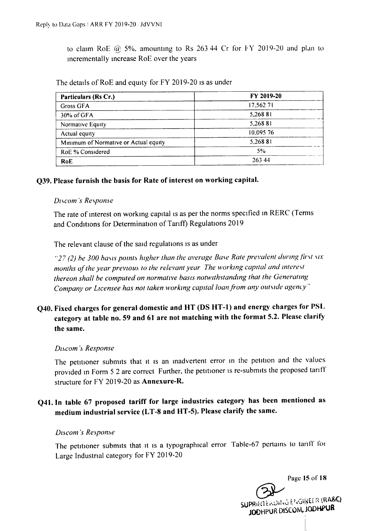to claim RoE  $\hat{\omega}$  5%, amounting to Rs 263 44 Cr for FY 2019-20 and plan to Incrementally Increase RoE over the years

| Particulars (Rs Cr.)                  | FY 2019-20 |
|---------------------------------------|------------|
| <b>Gross GFA</b>                      | 17,562 71  |
| 30% of GFA                            | 5,268 81   |
| Normative Equity                      | 5.26881    |
| Actual equity                         | 10,095 76  |
| Minimum of Normative or Actual equity | 5,268 81   |
| RoE % Considered                      | 5%         |
| <b>RoE</b>                            | 263 44     |

The details of RoE and equity for FY 2019-20 is as under

### Q39. Please furnish the basis for Rate of interest on working capital.

### Discom's Response

The rate of interest on working capital is as per the norms specified in RERC (Terms and Conditions for Determination of Tariff) Regulations 2019

The relevant clause of the said regulations is as under

"27 (2) *he 300 basts points higher than the average Base Rate prevalent during tint \IX months of the year previous to the relevant year The working capital and interest thereon shall be computed on normative basts notwtthstanding that the Generating Company or Licensee has not taken worktng capital loan from any outside agency"*

## Q40. Fixed charges for general domestic and HT (DS HT-l) and energy charges for PSL category at table no. 59 and 61 are not matching with the format 5.2. Please clarify the same.

### *Dtscom* 's *Response*

The petitioner submits that it is an inadvertent error in the petition and the values provided in Form 5 2 are correct Further, the petitioner is re-submits the proposed tariff structure for FY 2019-20 as Annexure-R.

## Q41. In table 67 proposed tariff for large industries category has been mentioned as medium industrial service (LT-8 and HT-5). Please clarify the same.

### *Dtscom 's Response*

The petitioner submits that it is a typographical error Table-67 pertains to taniff for Large Industnal category for FY 2019-20

> Page 15 of 18  $SUPR$  $N1$ EN $D$ IR $J$ E's $G$ i|KEER (RA&C) JODHPUR DISCOM, JODHPUR

--

--

-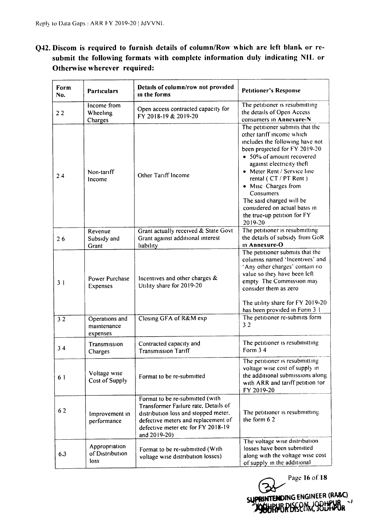Q42. Discom is required to furnish details of column/Row \\ hich are left blank or resubmit the following formats with complete information duly indicating NIL or Otherwise wherever required:

| Form<br>No. | <b>Particulars</b>                        | Details of column/row not provided<br>in the forms                                                                                                                                                           | <b>Petitioner's Response</b>                                                                                                                                                                                                                                                                                                                                                                  |
|-------------|-------------------------------------------|--------------------------------------------------------------------------------------------------------------------------------------------------------------------------------------------------------------|-----------------------------------------------------------------------------------------------------------------------------------------------------------------------------------------------------------------------------------------------------------------------------------------------------------------------------------------------------------------------------------------------|
| 22          | Income from<br>Wheeling<br>Charges        | Open access contracted capacity for<br>FY 2018-19 & 2019-20                                                                                                                                                  | The petitioner is resubmitting<br>the details of Open Access<br>consumers in Annexure-N                                                                                                                                                                                                                                                                                                       |
| 24          | Non-tariff<br>Income                      | Other Tariff Income                                                                                                                                                                                          | The petitioner submits that the<br>other tariff income which<br>includes the following have not<br>been projected for FY 2019-20<br>• 50% of amount recovered<br>against electricity theft<br>• Meter Rent / Service line<br>rental (CT / PT Rent)<br>• Misc Charges from<br>Consumers<br>The said charged will be<br>considered on actual basis in<br>the true-up petition for FY<br>2019-20 |
| 26          | Revenue<br>Subsidy and<br>Grant           | Grant actually received & State Govt<br>Grant against additional interest<br>liability                                                                                                                       | The petitioner is resubmitting<br>the details of subsidy from GoR<br>in Annexure-O                                                                                                                                                                                                                                                                                                            |
| 31          | Power Purchase<br>Expenses                | Incentives and other charges &<br>Utility share for 2019-20                                                                                                                                                  | The petitioner submits that the<br>columns named 'Incentives' and<br>'Any other charges' contain no<br>value so they have been left<br>empty The Commission may<br>consider them as zero<br>The utility share for FY 2019-20<br>has been provided in Form 3 1                                                                                                                                 |
| 32          | Operations and<br>maintenance<br>expenses | Closing GFA of R&M exp                                                                                                                                                                                       | The petitioner re-submits form<br>32                                                                                                                                                                                                                                                                                                                                                          |
| 34          | Transmission<br>Charges                   | Contracted capacity and<br><b>Transmission Tariff</b>                                                                                                                                                        | The petitioner is resubmitting<br>Form 34                                                                                                                                                                                                                                                                                                                                                     |
| 6 1         | Voltage wise<br>Cost of Supply            | Format to be re-submitted                                                                                                                                                                                    | The petitioner is resubmitting<br>voltage wise cost of supply in<br>the additional submissions along<br>with ARR and tariff petition for<br>FY 2019-20                                                                                                                                                                                                                                        |
| 62          | Improvement in<br>performance             | Format to be re-submitted (with<br>Transformer Failure rate, Details of<br>distribution loss and stopped meter,<br>defective meters and replacement of<br>defective meter etc for FY 2018-19<br>and 2019-20) | The petitioner is resubmitting<br>the form $62$                                                                                                                                                                                                                                                                                                                                               |
| 6.3         | Appropriation<br>of Distribution<br>loss. | Format to be re-submitted (With<br>voltage wise distribution losses)                                                                                                                                         | The voltage wise distribution<br>losses have been submitted<br>along with the voltage wise cost<br>of supply in the additional                                                                                                                                                                                                                                                                |

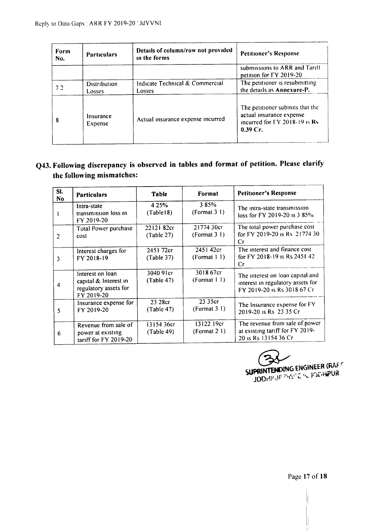| Form<br>No. | <b>Particulars</b>     | Details of column/row not provided<br>in the forms | <b>Petitioner's Response</b>                                                                                    |
|-------------|------------------------|----------------------------------------------------|-----------------------------------------------------------------------------------------------------------------|
|             |                        |                                                    | submissions to ARR and Tariff<br>petition for FY 2019-20                                                        |
| 72          | Distribution<br>Losses | Indicate Technical & Commercial<br>Losses          | The petitioner is resubmitting<br>the details as Annexure-P.                                                    |
| 8           | Insurance<br>Expense   | Actual insurance expense incurred                  | The petitioner submits that the<br>actual insurance expense<br>incurred for $\Gamma$ Y 2018-19 is Rs<br>0.39Cr. |

# Q43. Following discrepancy is observed in tables and format of petition. Please clarify the following mismatches:

| SI.<br>No.           | <b>Particulars</b>                                                               | Table                    | Format                             | <b>Petitioner's Response</b>                                                                         |
|----------------------|----------------------------------------------------------------------------------|--------------------------|------------------------------------|------------------------------------------------------------------------------------------------------|
|                      | Intra-state<br>transmission loss in<br>FY 2019-20                                | 4 2 5 %<br>(Table18)     | 385%<br>(Format 3 1)               | The intra-state transmission<br>loss for FY 2019-20 is 3 85%                                         |
| $\overline{2}$       | Total Power purchase<br>cost                                                     | 2212182cr<br>(Table 27)  | 21774 30cr<br>(Format 3 1)         | The total power purchase cost<br>for FY 2019-20 is Rs 21774 30<br>Cr                                 |
| 3                    | Interest charges for<br>FY 2018-19                                               | 2451 72cr<br>(Table 37)  | 2451 42cr<br>(Format 1 1)          | The interest and finance cost<br>for FY 2018-19 is Rs 2451 42<br>Cr.                                 |
| 4                    | Interest on loan<br>capital & Interest in<br>regulatory assets for<br>FY 2019-20 | 3040 91cr<br>(Table 47)  | 3018 67cr<br>(Format $  \cdot  $ ) | The interest on loan capital and<br>interest in regulatory assets for<br>FY 2019-20 is Rs 3018 67 Cr |
| $\mathsf{\varsigma}$ | Insurance expense for<br>FY 2019-20                                              | 23 28cr<br>(Table 47)    | 23 35cr<br>(Format $31$ )          | The Insurance expense for FY<br>2019-20 is Rs 23 35 Cr                                               |
| 6                    | Revenue from sale of<br>power at existing<br>tariff for FY 2019-20               | 13154 36cr<br>(Table 49) | 13122 19cr<br>(Format $21$ )       | The revenue from sale of power<br>at existing tariff for FY 2019-<br>20 is Rs 13154 36 Cr            |

SUPRINTENDING ENGINEER (RAFC JODHP JP PHSCC W. JODHPUR

Page 17 of 18